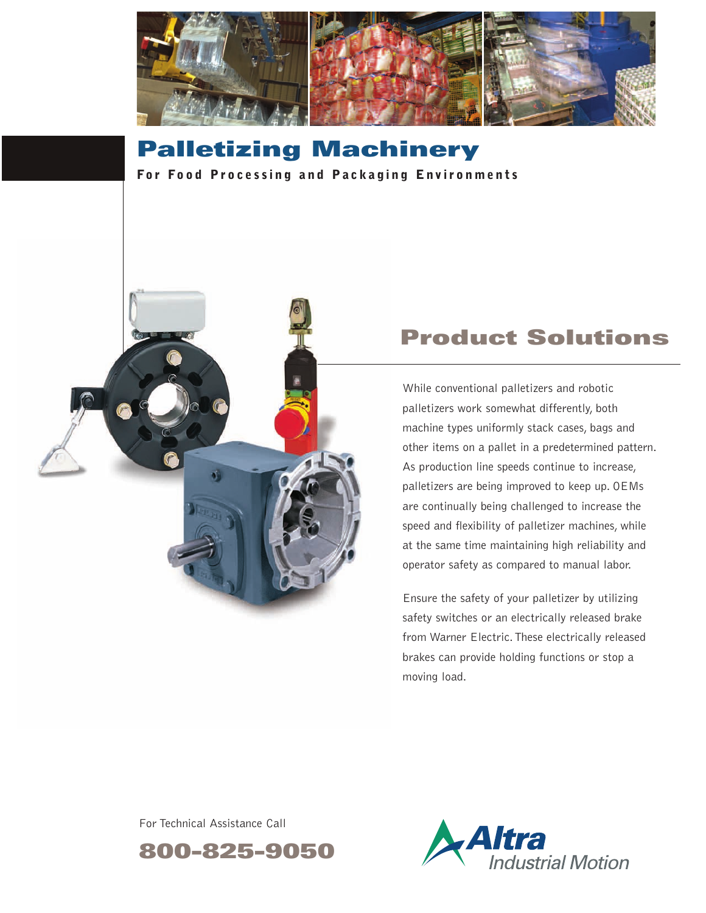

## **Palletizing Machinery For Food Processing and Packaging Environments**



# **Product Solutions**

While conventional palletizers and robotic palletizers work somewhat differently, both machine types uniformly stack cases, bags and other items on a pallet in a predetermined pattern. As production line speeds continue to increase, palletizers are being improved to keep up. OEMs are continually being challenged to increase the speed and flexibility of palletizer machines, while at the same time maintaining high reliability and operator safety as compared to manual labor.

Ensure the safety of your palletizer by utilizing safety switches or an electrically released brake from Warner Electric.These electrically released brakes can provide holding functions or stop a moving load.

For Technical Assistance Call